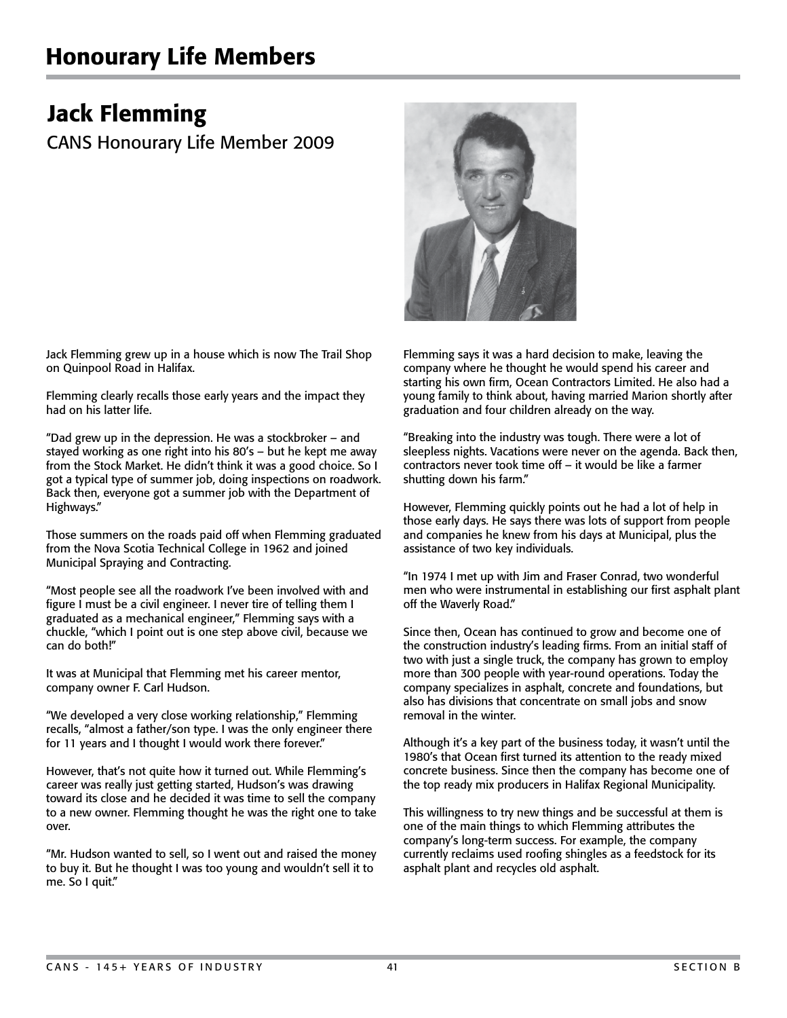## Honourary Life Members

## Jack Flemming

CANS Honourary Life Member 2009



Jack Flemming grew up in a house which is now The Trail Shop on Quinpool Road in Halifax.

Flemming clearly recalls those early years and the impact they had on his latter life.

"Dad grew up in the depression. He was a stockbroker – and stayed working as one right into his 80's – but he kept me away from the Stock Market. He didn't think it was a good choice. So I got a typical type of summer job, doing inspections on roadwork. Back then, everyone got a summer job with the Department of Highways."

Those summers on the roads paid off when Flemming graduated from the Nova Scotia Technical College in 1962 and joined Municipal Spraying and Contracting.

"Most people see all the roadwork I've been involved with and figure I must be a civil engineer. I never tire of telling them I graduated as a mechanical engineer," Flemming says with a chuckle, "which I point out is one step above civil, because we can do both!"

It was at Municipal that Flemming met his career mentor, company owner F. Carl Hudson.

"We developed a very close working relationship," Flemming recalls, "almost a father/son type. I was the only engineer there for 11 years and I thought I would work there forever."

However, that's not quite how it turned out. While Flemming's career was really just getting started, Hudson's was drawing toward its close and he decided it was time to sell the company to a new owner. Flemming thought he was the right one to take over.

"Mr. Hudson wanted to sell, so I went out and raised the money to buy it. But he thought I was too young and wouldn't sell it to me. So I quit."

Flemming says it was a hard decision to make, leaving the company where he thought he would spend his career and starting his own firm, Ocean Contractors Limited. He also had a young family to think about, having married Marion shortly after graduation and four children already on the way.

"Breaking into the industry was tough. There were a lot of sleepless nights. Vacations were never on the agenda. Back then, contractors never took time off – it would be like a farmer shutting down his farm."

However, Flemming quickly points out he had a lot of help in those early days. He says there was lots of support from people and companies he knew from his days at Municipal, plus the assistance of two key individuals.

"In 1974 I met up with Jim and Fraser Conrad, two wonderful men who were instrumental in establishing our first asphalt plant off the Waverly Road."

Since then, Ocean has continued to grow and become one of the construction industry's leading firms. From an initial staff of two with just a single truck, the company has grown to employ more than 300 people with year-round operations. Today the company specializes in asphalt, concrete and foundations, but also has divisions that concentrate on small jobs and snow removal in the winter.

Although it's a key part of the business today, it wasn't until the 1980's that Ocean first turned its attention to the ready mixed concrete business. Since then the company has become one of the top ready mix producers in Halifax Regional Municipality.

This willingness to try new things and be successful at them is one of the main things to which Flemming attributes the company's long-term success. For example, the company currently reclaims used roofing shingles as a feedstock for its asphalt plant and recycles old asphalt.